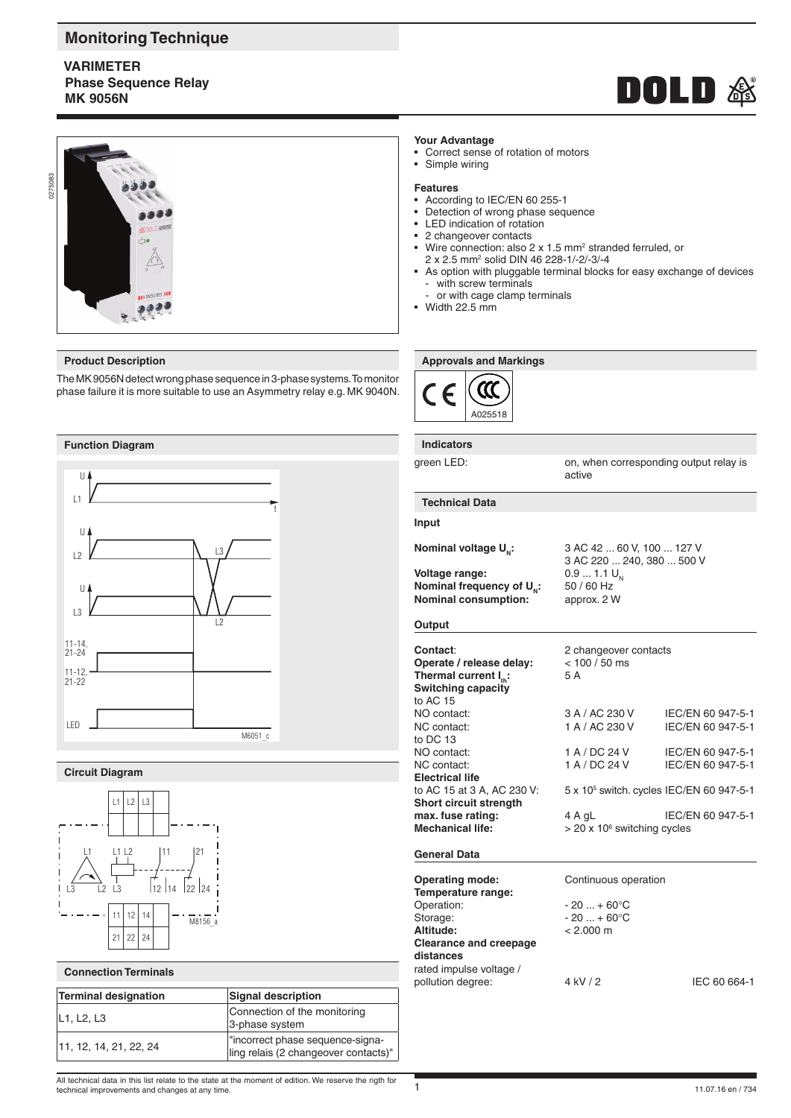# **Monitoring Technique**

# **VARIMETER Phase Sequence Relay MK 9056N**





The MK 9056N detect wrong phase sequence in 3-phase systems. To monitor phase failure it is more suitable to use an Asymmetry relay e.g. MK 9040N.



# **Circuit Diagram**



#### **Connection Terminals**

| <b>Terminal designation</b>                      | Signal description                                                        |
|--------------------------------------------------|---------------------------------------------------------------------------|
| L <sub>1</sub> , L <sub>2</sub> , L <sub>3</sub> | Connection of the monitoring<br>3-phase system                            |
| 11, 12, 14, 21, 22, 24                           | l"incorrect phase sequence-signa-<br>ling relais (2 changeover contacts)" |

# **Your Advantage**

- Correct sense of rotation of motors
- Simple wiring

#### **Features**

- According to IEC/EN 60 255-1
- Detection of wrong phase sequence
- LED indication of rotation
- 2 changeover contacts
- Wire connection: also 2 x 1.5 mm<sup>2</sup> stranded ferruled, or 2 x 2.5 mm2 solid DIN 46 228-1/-2/-3/-4
- As option with pluggable terminal blocks for easy exchange of devices with screw terminals
	- or with cage clamp terminals
- Width 22.5 mm

### **Product Description Approvals and Markings Approvals and Markings**



**Indicators**

green LED: on, when corresponding output relay is active

#### **Technical Data**

# **Input**

**Voltage range:** 0.9 ... 1.1 U<br>**Nominal frequency of U**<sub>n</sub>: 50 / 60 Hz **Nominal frequency of U<sub>N</sub>:** 50/60 Hz<br>**Nominal consumption:** approx. 2 W **Nominal consumption:** 

**Nominal voltage U<sub>n</sub>:** 3 AC 42 ... 60 V, 100 ... 127 V 3 AC 220 ... 240, 380 ... 500 V<br>0.9 ... 1.1 U<sub>N</sub>

#### **Output**

| Contact:<br>Operate / release delay:<br>Thermal current $I_{\text{th}}$ :<br><b>Switching capacity</b><br>to AC 15 | 2 changeover contacts<br>$< 100 / 50$ ms<br>5 A      |                   |
|--------------------------------------------------------------------------------------------------------------------|------------------------------------------------------|-------------------|
| NO contact:                                                                                                        | 3 A / AC 230 V                                       | IEC/EN 60 947-5-1 |
| NC contact:                                                                                                        | 1 A / AC 230 V                                       | IEC/EN 60 947-5-1 |
| to DC 13                                                                                                           |                                                      |                   |
| NO contact:                                                                                                        | 1 A / DC 24 V                                        | IEC/EN 60 947-5-1 |
| NC contact:                                                                                                        | 1 A / DC 24 V                                        | IEC/EN 60 947-5-1 |
| <b>Electrical life</b>                                                                                             |                                                      |                   |
| to AC 15 at 3 A, AC 230 V:                                                                                         | 5 x 10 <sup>5</sup> switch. cycles IEC/EN 60 947-5-1 |                   |
| <b>Short circuit strength</b>                                                                                      |                                                      |                   |
| max. fuse rating:<br><b>Mechanical life:</b>                                                                       | 4 A gL<br>$>$ 20 x 10 $\textdegree$ switching cycles | IEC/EN 60 947-5-1 |
|                                                                                                                    |                                                      |                   |

# **General Data**

**Operating mode:** Continuous operation **Temperature range:** Operation:  $-20 ... + 60^{\circ}$ C<br>Storage:  $-20 ... + 60^{\circ}$ C  $-20 ... + 60$ °C **Altitude:** < 2.000 m **Clearance and creepage distances** rated impulse voltage / pollution degree:  $4 kV / 2$  IEC 60 664-1

All technical data in this list relate to the state at the moment of edition. We reserve the rigth for technical improvements and changes at any time.